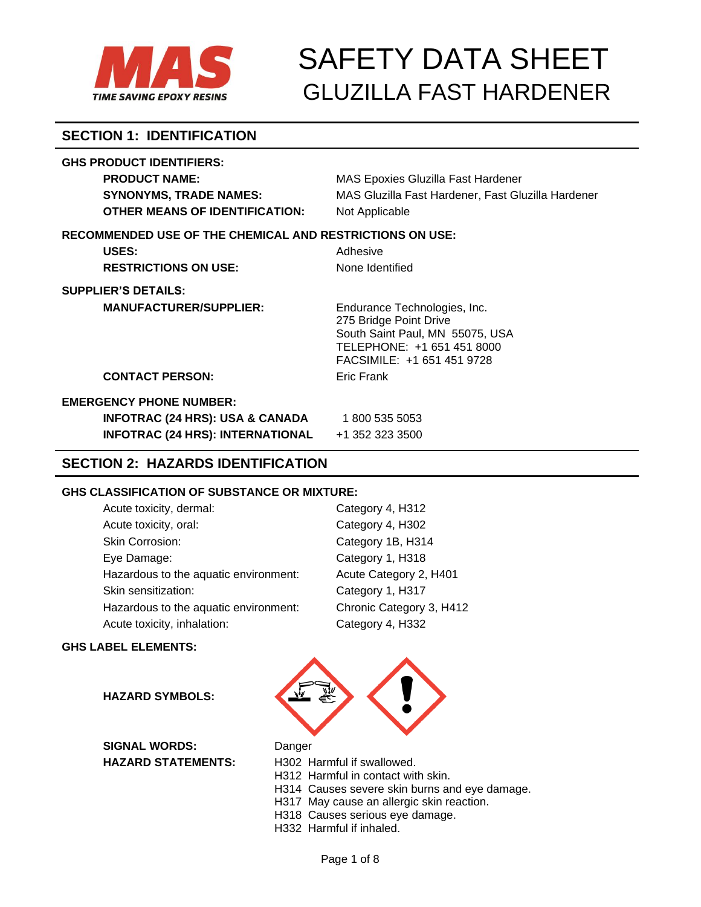

## **SECTION 1: IDENTIFICATION**

## **GHS PRODUCT IDENTIFIERS:**

| <b>PRODUCT NAME:</b>           | MAS Epoxies Gluzilla Fast Hardener                 |
|--------------------------------|----------------------------------------------------|
| <b>SYNONYMS. TRADE NAMES:</b>  | MAS Gluzilla Fast Hardener. Fast Gluzilla Hardener |
| OTHER MEANS OF IDENTIFICATION: | Not Applicable                                     |
|                                |                                                    |

### **RECOMMENDED USE OF THE CHEMICAL AND RESTRICTIONS ON USE:**

| USES:                         | Adhesive         |
|-------------------------------|------------------|
| <b>RESTRICTIONS ON USE:</b>   | None Identified  |
| <b>SUPPLIER'S DETAILS:</b>    |                  |
| <b>MANUFACTURER/SUPPLIER:</b> | Endurance Techno |

blogies, Inc. 275 Bridge Point Drive South Saint Paul, MN 55075, USA TELEPHONE: +1 651 451 8000 FACSIMILE: +1 651 451 9728

**CONTACT PERSON:** Eric Frank

**EMERGENCY PHONE NUMBER: INFOTRAC (24 HRS): USA & CANADA** 1 800 535 5053 **INFOTRAC (24 HRS): INTERNATIONAL** +1 352 323 3500

## **SECTION 2: HAZARDS IDENTIFICATION**

## **GHS CLASSIFICATION OF SUBSTANCE OR MIXTURE:**

| Acute toxicity, dermal:               | Category 4, H312         |
|---------------------------------------|--------------------------|
| Acute toxicity, oral:                 | Category 4, H302         |
| Skin Corrosion:                       | Category 1B, H314        |
| Eye Damage:                           | Category 1, H318         |
| Hazardous to the aquatic environment: | Acute Category 2, H401   |
| Skin sensitization:                   | Category 1, H317         |
| Hazardous to the aquatic environment: | Chronic Category 3, H412 |
| Acute toxicity, inhalation:           | Category 4, H332         |

### **GHS LABEL ELEMENTS:**

**HAZARD SYMBOLS:**

**SIGNAL WORDS:** Danger



HAZARD STATEMENTS: H302 Harmful if swallowed. H312 Harmful in contact with skin. H314 Causes severe skin burns and eye damage. H317 May cause an allergic skin reaction. H318 Causes serious eye damage. H332 Harmful if inhaled.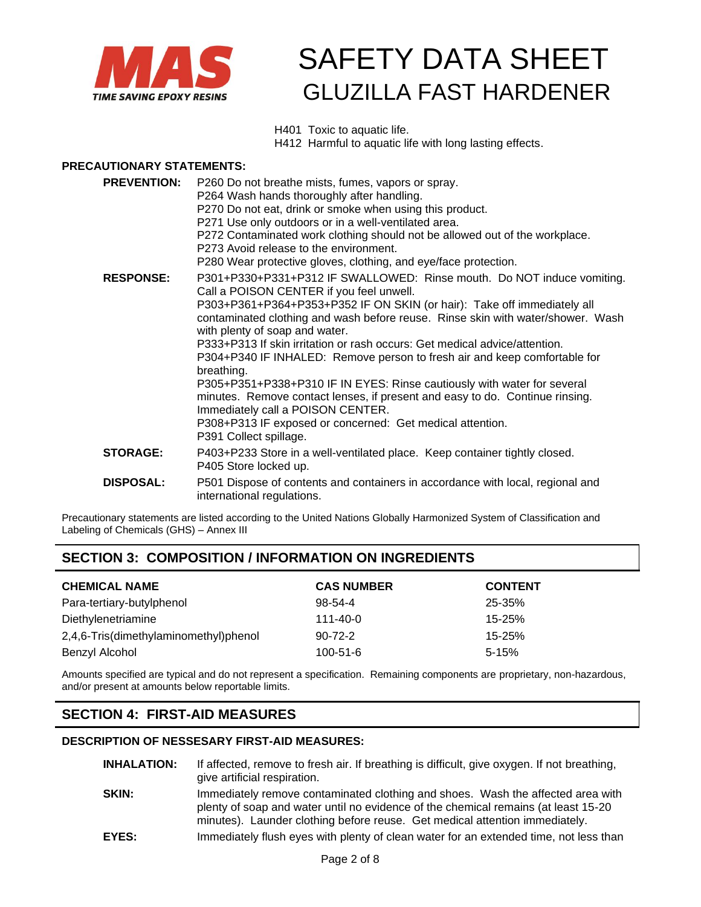

H401 Toxic to aquatic life.

H412 Harmful to aquatic life with long lasting effects.

## **PRECAUTIONARY STATEMENTS:**

| <b>PREVENTION:</b> | P260 Do not breathe mists, fumes, vapors or spray.<br>P264 Wash hands thoroughly after handling.<br>P270 Do not eat, drink or smoke when using this product.<br>P271 Use only outdoors or in a well-ventilated area.<br>P272 Contaminated work clothing should not be allowed out of the workplace.<br>P273 Avoid release to the environment.<br>P280 Wear protective gloves, clothing, and eye/face protection.                                                                                                                                                                                                                                                                                                                                                                   |
|--------------------|------------------------------------------------------------------------------------------------------------------------------------------------------------------------------------------------------------------------------------------------------------------------------------------------------------------------------------------------------------------------------------------------------------------------------------------------------------------------------------------------------------------------------------------------------------------------------------------------------------------------------------------------------------------------------------------------------------------------------------------------------------------------------------|
| <b>RESPONSE:</b>   | P301+P330+P331+P312 IF SWALLOWED: Rinse mouth. Do NOT induce vomiting.<br>Call a POISON CENTER if you feel unwell.<br>P303+P361+P364+P353+P352 IF ON SKIN (or hair): Take off immediately all<br>contaminated clothing and wash before reuse. Rinse skin with water/shower. Wash<br>with plenty of soap and water.<br>P333+P313 If skin irritation or rash occurs: Get medical advice/attention.<br>P304+P340 IF INHALED: Remove person to fresh air and keep comfortable for<br>breathing.<br>P305+P351+P338+P310 IF IN EYES: Rinse cautiously with water for several<br>minutes. Remove contact lenses, if present and easy to do. Continue rinsing.<br>Immediately call a POISON CENTER.<br>P308+P313 IF exposed or concerned: Get medical attention.<br>P391 Collect spillage. |
| <b>STORAGE:</b>    | P403+P233 Store in a well-ventilated place. Keep container tightly closed.<br>P405 Store locked up.                                                                                                                                                                                                                                                                                                                                                                                                                                                                                                                                                                                                                                                                                |
| <b>DISPOSAL:</b>   | P501 Dispose of contents and containers in accordance with local, regional and<br>international regulations.                                                                                                                                                                                                                                                                                                                                                                                                                                                                                                                                                                                                                                                                       |

Precautionary statements are listed according to the United Nations Globally Harmonized System of Classification and Labeling of Chemicals (GHS) – Annex III

# **SECTION 3: COMPOSITION / INFORMATION ON INGREDIENTS**

| <b>CHEMICAL NAME</b>                  | <b>CAS NUMBER</b> | <b>CONTENT</b> |
|---------------------------------------|-------------------|----------------|
| Para-tertiary-butylphenol             | $98 - 54 - 4$     | $25 - 35%$     |
| Diethylenetriamine                    | $111 - 40 - 0$    | $15 - 25%$     |
| 2,4,6-Tris(dimethylaminomethyl)phenol | $90 - 72 - 2$     | $15 - 25%$     |
| Benzyl Alcohol                        | $100 - 51 - 6$    | $5 - 15%$      |

Amounts specified are typical and do not represent a specification. Remaining components are proprietary, non-hazardous, and/or present at amounts below reportable limits.

# **SECTION 4: FIRST-AID MEASURES**

### **DESCRIPTION OF NESSESARY FIRST-AID MEASURES:**

- **INHALATION:** If affected, remove to fresh air. If breathing is difficult, give oxygen. If not breathing, give artificial respiration.
- **SKIN:** Immediately remove contaminated clothing and shoes. Wash the affected area with plenty of soap and water until no evidence of the chemical remains (at least 15-20 minutes). Launder clothing before reuse. Get medical attention immediately.
- **EYES:** Immediately flush eyes with plenty of clean water for an extended time, not less than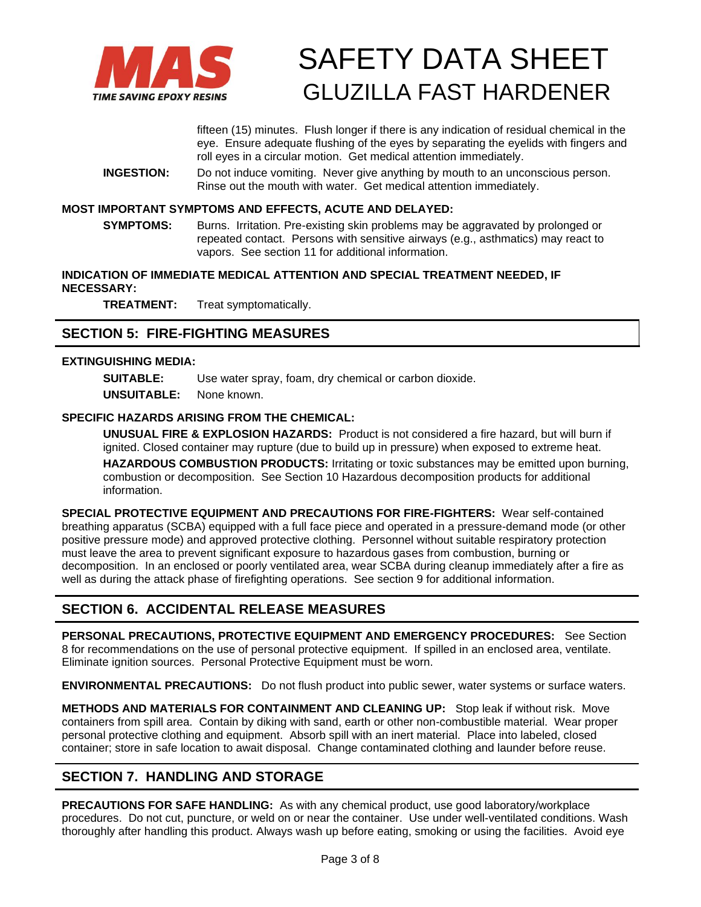

fifteen (15) minutes. Flush longer if there is any indication of residual chemical in the eye. Ensure adequate flushing of the eyes by separating the eyelids with fingers and roll eyes in a circular motion. Get medical attention immediately.

**INGESTION:** Do not induce vomiting. Never give anything by mouth to an unconscious person. Rinse out the mouth with water. Get medical attention immediately.

### **MOST IMPORTANT SYMPTOMS AND EFFECTS, ACUTE AND DELAYED:**

**SYMPTOMS:** Burns. Irritation. Pre-existing skin problems may be aggravated by prolonged or repeated contact. Persons with sensitive airways (e.g., asthmatics) may react to vapors. See section 11 for additional information.

### **INDICATION OF IMMEDIATE MEDICAL ATTENTION AND SPECIAL TREATMENT NEEDED, IF NECESSARY:**

**TREATMENT:** Treat symptomatically.

## **SECTION 5: FIRE-FIGHTING MEASURES**

### **EXTINGUISHING MEDIA:**

**SUITABLE:** Use water spray, foam, dry chemical or carbon dioxide. **UNSUITABLE:** None known.

### **SPECIFIC HAZARDS ARISING FROM THE CHEMICAL:**

**UNUSUAL FIRE & EXPLOSION HAZARDS:** Product is not considered a fire hazard, but will burn if ignited. Closed container may rupture (due to build up in pressure) when exposed to extreme heat. **HAZARDOUS COMBUSTION PRODUCTS:** Irritating or toxic substances may be emitted upon burning, combustion or decomposition. See Section 10 Hazardous decomposition products for additional information.

**SPECIAL PROTECTIVE EQUIPMENT AND PRECAUTIONS FOR FIRE-FIGHTERS:** Wear self-contained breathing apparatus (SCBA) equipped with a full face piece and operated in a pressure-demand mode (or other positive pressure mode) and approved protective clothing. Personnel without suitable respiratory protection must leave the area to prevent significant exposure to hazardous gases from combustion, burning or decomposition. In an enclosed or poorly ventilated area, wear SCBA during cleanup immediately after a fire as well as during the attack phase of firefighting operations. See section 9 for additional information.

## **SECTION 6. ACCIDENTAL RELEASE MEASURES**

**PERSONAL PRECAUTIONS, PROTECTIVE EQUIPMENT AND EMERGENCY PROCEDURES:** See Section 8 for recommendations on the use of personal protective equipment. If spilled in an enclosed area, ventilate. Eliminate ignition sources. Personal Protective Equipment must be worn.

**ENVIRONMENTAL PRECAUTIONS:** Do not flush product into public sewer, water systems or surface waters.

**METHODS AND MATERIALS FOR CONTAINMENT AND CLEANING UP:** Stop leak if without risk. Move containers from spill area. Contain by diking with sand, earth or other non-combustible material. Wear proper personal protective clothing and equipment. Absorb spill with an inert material. Place into labeled, closed container; store in safe location to await disposal. Change contaminated clothing and launder before reuse.

# **SECTION 7. HANDLING AND STORAGE**

**PRECAUTIONS FOR SAFE HANDLING:** As with any chemical product, use good laboratory/workplace procedures. Do not cut, puncture, or weld on or near the container. Use under well-ventilated conditions. Wash thoroughly after handling this product. Always wash up before eating, smoking or using the facilities. Avoid eye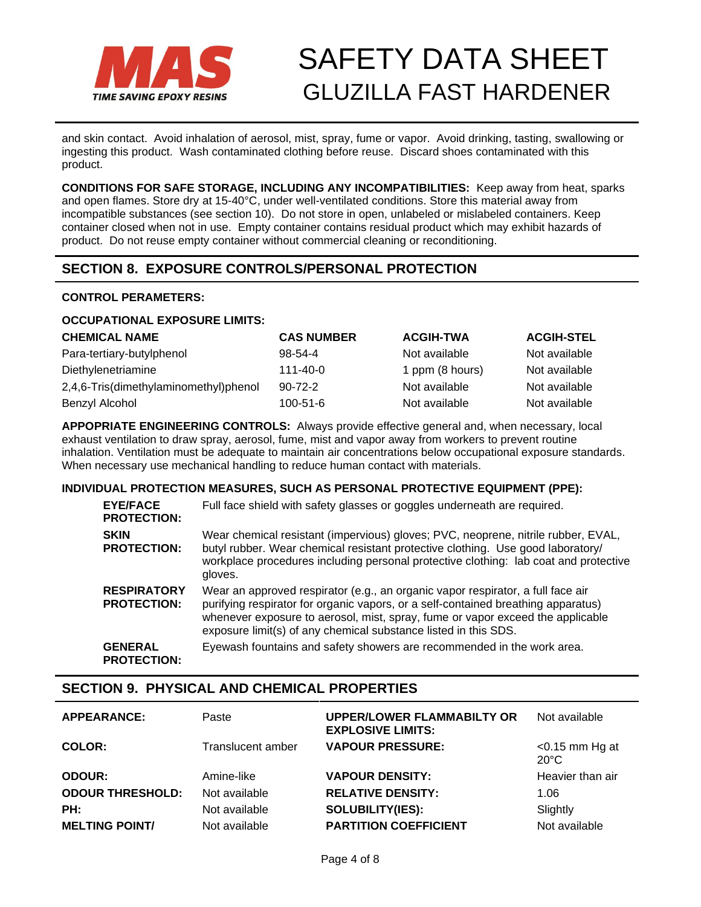

and skin contact. Avoid inhalation of aerosol, mist, spray, fume or vapor. Avoid drinking, tasting, swallowing or ingesting this product. Wash contaminated clothing before reuse. Discard shoes contaminated with this product.

**CONDITIONS FOR SAFE STORAGE, INCLUDING ANY INCOMPATIBILITIES:** Keep away from heat, sparks and open flames. Store dry at 15-40°C, under well-ventilated conditions. Store this material away from incompatible substances (see section 10). Do not store in open, unlabeled or mislabeled containers. Keep container closed when not in use. Empty container contains residual product which may exhibit hazards of product. Do not reuse empty container without commercial cleaning or reconditioning.

# **SECTION 8. EXPOSURE CONTROLS/PERSONAL PROTECTION**

### **CONTROL PERAMETERS:**

### **OCCUPATIONAL EXPOSURE LIMITS:**

| <b>CHEMICAL NAME</b>                  | <b>CAS NUMBER</b> | <b>ACGIH-TWA</b> | <b>ACGIH-STEL</b> |
|---------------------------------------|-------------------|------------------|-------------------|
| Para-tertiary-butylphenol             | $98 - 54 - 4$     | Not available    | Not available     |
| Diethylenetriamine                    | $111 - 40 - 0$    | 1 ppm (8 hours)  | Not available     |
| 2,4,6-Tris(dimethylaminomethyl)phenol | $90 - 72 - 2$     | Not available    | Not available     |
| Benzyl Alcohol                        | 100-51-6          | Not available    | Not available     |

**APPOPRIATE ENGINEERING CONTROLS:** Always provide effective general and, when necessary, local exhaust ventilation to draw spray, aerosol, fume, mist and vapor away from workers to prevent routine inhalation. Ventilation must be adequate to maintain air concentrations below occupational exposure standards. When necessary use mechanical handling to reduce human contact with materials.

### **INDIVIDUAL PROTECTION MEASURES, SUCH AS PERSONAL PROTECTIVE EQUIPMENT (PPE):**

| <b>EYE/FACE</b><br><b>PROTECTION:</b>    | Full face shield with safety glasses or goggles underneath are required.                                                                                                                                                                                                                                                  |
|------------------------------------------|---------------------------------------------------------------------------------------------------------------------------------------------------------------------------------------------------------------------------------------------------------------------------------------------------------------------------|
| <b>SKIN</b><br><b>PROTECTION:</b>        | Wear chemical resistant (impervious) gloves; PVC, neoprene, nitrile rubber, EVAL,<br>butyl rubber. Wear chemical resistant protective clothing. Use good laboratory/<br>workplace procedures including personal protective clothing: lab coat and protective<br>gloves.                                                   |
| <b>RESPIRATORY</b><br><b>PROTECTION:</b> | Wear an approved respirator (e.g., an organic vapor respirator, a full face air<br>purifying respirator for organic vapors, or a self-contained breathing apparatus)<br>whenever exposure to aerosol, mist, spray, fume or vapor exceed the applicable<br>exposure limit(s) of any chemical substance listed in this SDS. |
| <b>GENERAL</b><br><b>PROTECTION:</b>     | Eyewash fountains and safety showers are recommended in the work area.                                                                                                                                                                                                                                                    |

## **SECTION 9. PHYSICAL AND CHEMICAL PROPERTIES**

| <b>APPEARANCE:</b>      | Paste             | <b>UPPER/LOWER FLAMMABILTY OR</b><br><b>EXPLOSIVE LIMITS:</b> | Not available                       |
|-------------------------|-------------------|---------------------------------------------------------------|-------------------------------------|
| <b>COLOR:</b>           | Translucent amber | <b>VAPOUR PRESSURE:</b>                                       | $<$ 0.15 mm Hg at<br>$20^{\circ}$ C |
| <b>ODOUR:</b>           | Amine-like        | <b>VAPOUR DENSITY:</b>                                        | Heavier than air                    |
| <b>ODOUR THRESHOLD:</b> | Not available     | <b>RELATIVE DENSITY:</b>                                      | 1.06                                |
| PH:                     | Not available     | <b>SOLUBILITY(IES):</b>                                       | Slightly                            |
| <b>MELTING POINT/</b>   | Not available     | <b>PARTITION COEFFICIENT</b>                                  | Not available                       |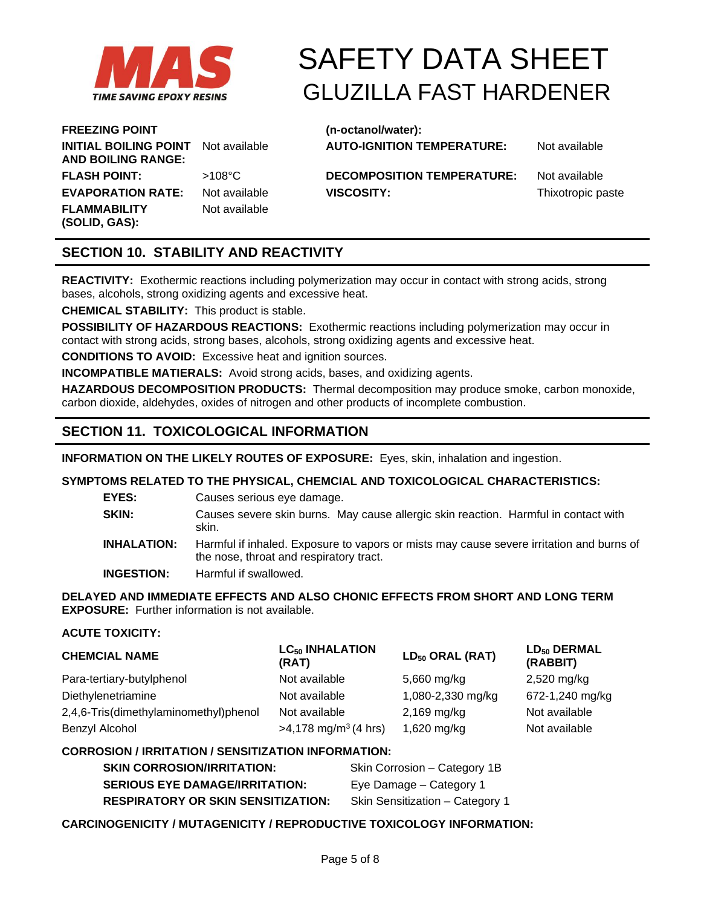

**FREEZING POINT (n-octanol/water): INITIAL BOILING POINT** Not available **AND BOILING RANGE: FLASH POINT:** >108°C **DECOMPOSITION TEMPERATURE:** Not available **EVAPORATION RATE:** Not available **VISCOSITY:** Thixotropic paste **FLAMMABILITY (SOLID, GAS):** Not available

**AUTO-IGNITION TEMPERATURE:** Not available

# **SECTION 10. STABILITY AND REACTIVITY**

**REACTIVITY:** Exothermic reactions including polymerization may occur in contact with strong acids, strong bases, alcohols, strong oxidizing agents and excessive heat.

**CHEMICAL STABILITY:** This product is stable.

**POSSIBILITY OF HAZARDOUS REACTIONS:** Exothermic reactions including polymerization may occur in contact with strong acids, strong bases, alcohols, strong oxidizing agents and excessive heat.

**CONDITIONS TO AVOID:** Excessive heat and ignition sources.

**INCOMPATIBLE MATIERALS:** Avoid strong acids, bases, and oxidizing agents.

**HAZARDOUS DECOMPOSITION PRODUCTS:** Thermal decomposition may produce smoke, carbon monoxide, carbon dioxide, aldehydes, oxides of nitrogen and other products of incomplete combustion.

# **SECTION 11. TOXICOLOGICAL INFORMATION**

**INFORMATION ON THE LIKELY ROUTES OF EXPOSURE:** Eyes, skin, inhalation and ingestion.

### **SYMPTOMS RELATED TO THE PHYSICAL, CHEMCIAL AND TOXICOLOGICAL CHARACTERISTICS:**

| <b>EYES:</b>       | Causes serious eye damage.                                                                                                          |
|--------------------|-------------------------------------------------------------------------------------------------------------------------------------|
| SKIN:              | Causes severe skin burns. May cause allergic skin reaction. Harmful in contact with<br>skin.                                        |
| <b>INHALATION:</b> | Harmful if inhaled. Exposure to vapors or mists may cause severe irritation and burns of<br>the nose, throat and respiratory tract. |
| <b>INGESTION:</b>  | Harmful if swallowed.                                                                                                               |

**DELAYED AND IMMEDIATE EFFECTS AND ALSO CHONIC EFFECTS FROM SHORT AND LONG TERM EXPOSURE:** Further information is not available.

### **ACUTE TOXICITY:**

| <b>CHEMCIAL NAME</b>                  | $LC_{50}$ INHALATION<br>(RAT)      | LD <sub>50</sub> ORAL (RAT) | LD <sub>50</sub> DERMAL<br>(RABBIT) |
|---------------------------------------|------------------------------------|-----------------------------|-------------------------------------|
| Para-tertiary-butylphenol             | Not available                      | 5,660 mg/kg                 | 2,520 mg/kg                         |
| Diethylenetriamine                    | Not available                      | 1,080-2,330 mg/kg           | 672-1,240 mg/kg                     |
| 2,4,6-Tris(dimethylaminomethyl)phenol | Not available                      | 2,169 mg/kg                 | Not available                       |
| Benzyl Alcohol                        | $>4,178$ mg/m <sup>3</sup> (4 hrs) | 1,620 mg/kg                 | Not available                       |

## **CORROSION / IRRITATION / SENSITIZATION INFORMATION:**

| <b>SKIN CORROSION/IRRITATION:</b>         | Skin Corrosion – Category 1B    |
|-------------------------------------------|---------------------------------|
| <b>SERIOUS EYE DAMAGE/IRRITATION:</b>     | Eye Damage - Category 1         |
| <b>RESPIRATORY OR SKIN SENSITIZATION:</b> | Skin Sensitization - Category 1 |

### **CARCINOGENICITY / MUTAGENICITY / REPRODUCTIVE TOXICOLOGY INFORMATION:**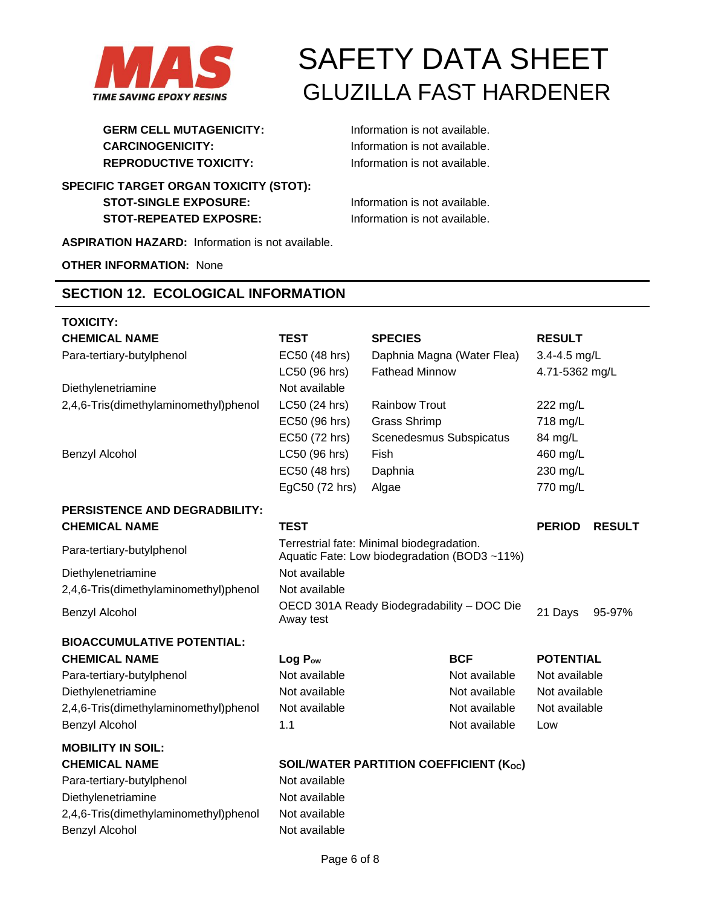

**GERM CELL MUTAGENICITY:** Information is not available. **CARCINOGENICITY:** Information is not available. **REPRODUCTIVE TOXICITY:** Information is not available.

**SPECIFIC TARGET ORGAN TOXICITY (STOT): STOT-SINGLE EXPOSURE:** Information is not available. **STOT-REPEATED EXPOSRE:** Information is not available.

**ASPIRATION HAZARD:** Information is not available.

**OTHER INFORMATION:** None

## **SECTION 12. ECOLOGICAL INFORMATION**

| <b>TOXICITY:</b>                      |                                                                                          |                            |               |                  |               |
|---------------------------------------|------------------------------------------------------------------------------------------|----------------------------|---------------|------------------|---------------|
| <b>CHEMICAL NAME</b>                  | <b>TEST</b>                                                                              | <b>SPECIES</b>             |               | <b>RESULT</b>    |               |
| Para-tertiary-butylphenol             | EC50 (48 hrs)                                                                            | Daphnia Magna (Water Flea) |               | 3.4-4.5 mg/L     |               |
|                                       | LC50 (96 hrs)                                                                            | <b>Fathead Minnow</b>      |               | 4.71-5362 mg/L   |               |
| Diethylenetriamine                    | Not available                                                                            |                            |               |                  |               |
| 2,4,6-Tris(dimethylaminomethyl)phenol | LC50 (24 hrs)                                                                            | <b>Rainbow Trout</b>       |               | 222 mg/L         |               |
|                                       | EC50 (96 hrs)                                                                            | <b>Grass Shrimp</b>        |               | 718 mg/L         |               |
|                                       | EC50 (72 hrs)                                                                            | Scenedesmus Subspicatus    |               | 84 mg/L          |               |
| Benzyl Alcohol                        | LC50 (96 hrs)                                                                            | Fish                       |               | 460 mg/L         |               |
|                                       | EC50 (48 hrs)                                                                            | Daphnia                    |               | 230 mg/L         |               |
|                                       | EgC50 (72 hrs)                                                                           | Algae                      |               | 770 mg/L         |               |
| <b>PERSISTENCE AND DEGRADBILITY:</b>  |                                                                                          |                            |               |                  |               |
| <b>CHEMICAL NAME</b>                  | <b>TEST</b>                                                                              |                            |               | <b>PERIOD</b>    | <b>RESULT</b> |
| Para-tertiary-butylphenol             | Terrestrial fate: Minimal biodegradation.<br>Aquatic Fate: Low biodegradation (BOD3~11%) |                            |               |                  |               |
| Diethylenetriamine                    | Not available                                                                            |                            |               |                  |               |
| 2,4,6-Tris(dimethylaminomethyl)phenol | Not available                                                                            |                            |               |                  |               |
| Benzyl Alcohol                        | OECD 301A Ready Biodegradability - DOC Die<br>Away test                                  |                            | 21 Days       | 95-97%           |               |
| <b>BIOACCUMULATIVE POTENTIAL:</b>     |                                                                                          |                            |               |                  |               |
| <b>CHEMICAL NAME</b>                  | $Log P_{ow}$                                                                             |                            | <b>BCF</b>    | <b>POTENTIAL</b> |               |
| Para-tertiary-butylphenol             | Not available                                                                            |                            | Not available | Not available    |               |
| Diethylenetriamine                    | Not available                                                                            |                            | Not available | Not available    |               |
| 2,4,6-Tris(dimethylaminomethyl)phenol | Not available                                                                            |                            | Not available | Not available    |               |
| Benzyl Alcohol                        | 1.1                                                                                      |                            | Not available | Low              |               |
| <b>MOBILITY IN SOIL:</b>              |                                                                                          |                            |               |                  |               |
| <b>CHEMICAL NAME</b>                  | SOIL/WATER PARTITION COEFFICIENT (K <sub>oc</sub> )                                      |                            |               |                  |               |
| Para-tertiary-butylphenol             | Not available                                                                            |                            |               |                  |               |
| Diethylenetriamine                    | Not available                                                                            |                            |               |                  |               |
| 2,4,6-Tris(dimethylaminomethyl)phenol | Not available                                                                            |                            |               |                  |               |
| Benzyl Alcohol                        | Not available                                                                            |                            |               |                  |               |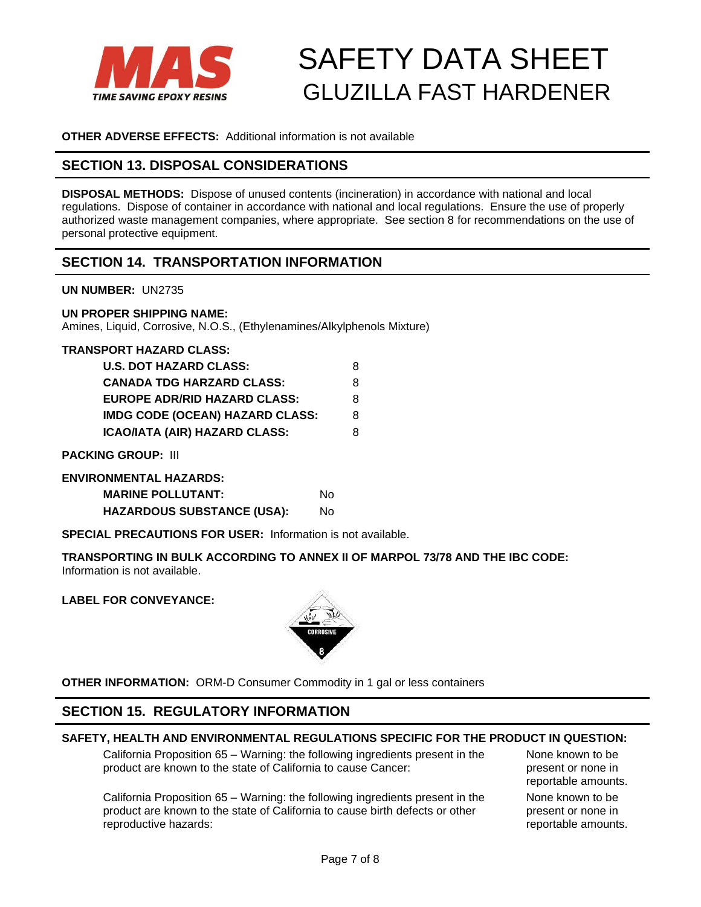

### **OTHER ADVERSE EFFECTS:** Additional information is not available

## **SECTION 13. DISPOSAL CONSIDERATIONS**

**DISPOSAL METHODS:** Dispose of unused contents (incineration) in accordance with national and local regulations. Dispose of container in accordance with national and local regulations. Ensure the use of properly authorized waste management companies, where appropriate. See section 8 for recommendations on the use of personal protective equipment.

## **SECTION 14. TRANSPORTATION INFORMATION**

#### **UN NUMBER:** UN2735

#### **UN PROPER SHIPPING NAME:**

Amines, Liquid, Corrosive, N.O.S., (Ethylenamines/Alkylphenols Mixture)

### **TRANSPORT HAZARD CLASS:**

| <b>U.S. DOT HAZARD CLASS:</b>          | 8 |
|----------------------------------------|---|
| <b>CANADA TDG HARZARD CLASS:</b>       | 8 |
| <b>EUROPE ADR/RID HAZARD CLASS:</b>    | 8 |
| <b>IMDG CODE (OCEAN) HAZARD CLASS:</b> | 8 |
| ICAO/IATA (AIR) HAZARD CLASS:          | 8 |

**PACKING GROUP:** III

#### **ENVIRONMENTAL HAZARDS:**

| <b>MARINE POLLUTANT:</b>          | N٥ |
|-----------------------------------|----|
| <b>HAZARDOUS SUBSTANCE (USA):</b> | Nο |

**SPECIAL PRECAUTIONS FOR USER:** Information is not available.

**TRANSPORTING IN BULK ACCORDING TO ANNEX II OF MARPOL 73/78 AND THE IBC CODE:** Information is not available.

**LABEL FOR CONVEYANCE:**



**OTHER INFORMATION:** ORM-D Consumer Commodity in 1 gal or less containers

# **SECTION 15. REGULATORY INFORMATION**

### **SAFETY, HEALTH AND ENVIRONMENTAL REGULATIONS SPECIFIC FOR THE PRODUCT IN QUESTION:**

California Proposition 65 – Warning: the following ingredients present in the product are known to the state of California to cause Cancer:

California Proposition 65 – Warning: the following ingredients present in the product are known to the state of California to cause birth defects or other reproductive hazards:

None known to be present or none in reportable amounts. None known to be present or none in reportable amounts.